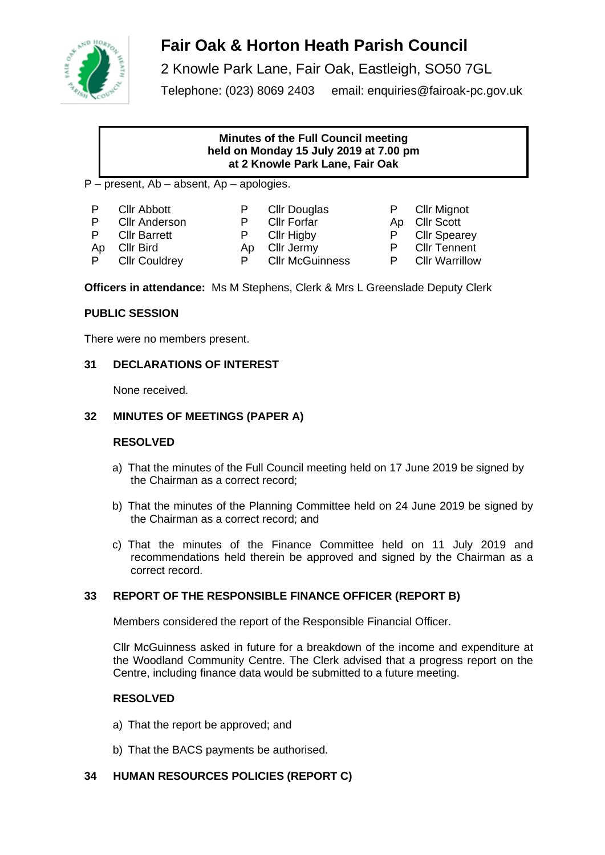

# **Fair Oak & Horton Heath Parish Council**

2 Knowle Park Lane, Fair Oak, Eastleigh, SO50 7GL Telephone: (023) 8069 2403 email: enquiries@fairoak-pc.gov.uk

### **Minutes of the Full Council meeting held on Monday 15 July 2019 at 7.00 pm at 2 Knowle Park Lane, Fair Oak**

- P present, Ab absent, Ap apologies.
- P Cllr Abbott P Cllr Douglas P Cllr Mignot
- P Cllr Anderson P Cllr Forfar Ap Cllr Scott
	-
- 
- P Clir Barrett P Clir Higby P Clir Spearey
- -
- P Cllr Couldrey P Cllr McGuinness P Cllr Warrillow
- Ap Cllr Bird Ap Cllr Jermy P Cllr Tennent
	-
- 
- 
- 
- 

**Officers in attendance:** Ms M Stephens, Clerk & Mrs L Greenslade Deputy Clerk

# **PUBLIC SESSION**

There were no members present.

# **31 DECLARATIONS OF INTEREST**

None received.

# **32 MINUTES OF MEETINGS (PAPER A)**

# **RESOLVED**

- a) That the minutes of the Full Council meeting held on 17 June 2019 be signed by the Chairman as a correct record;
- b) That the minutes of the Planning Committee held on 24 June 2019 be signed by the Chairman as a correct record; and
- c) That the minutes of the Finance Committee held on 11 July 2019 and recommendations held therein be approved and signed by the Chairman as a correct record.

# **33 REPORT OF THE RESPONSIBLE FINANCE OFFICER (REPORT B)**

Members considered the report of the Responsible Financial Officer.

Cllr McGuinness asked in future for a breakdown of the income and expenditure at the Woodland Community Centre. The Clerk advised that a progress report on the Centre, including finance data would be submitted to a future meeting.

# **RESOLVED**

- a) That the report be approved; and
- b) That the BACS payments be authorised.

# **34 HUMAN RESOURCES POLICIES (REPORT C)**